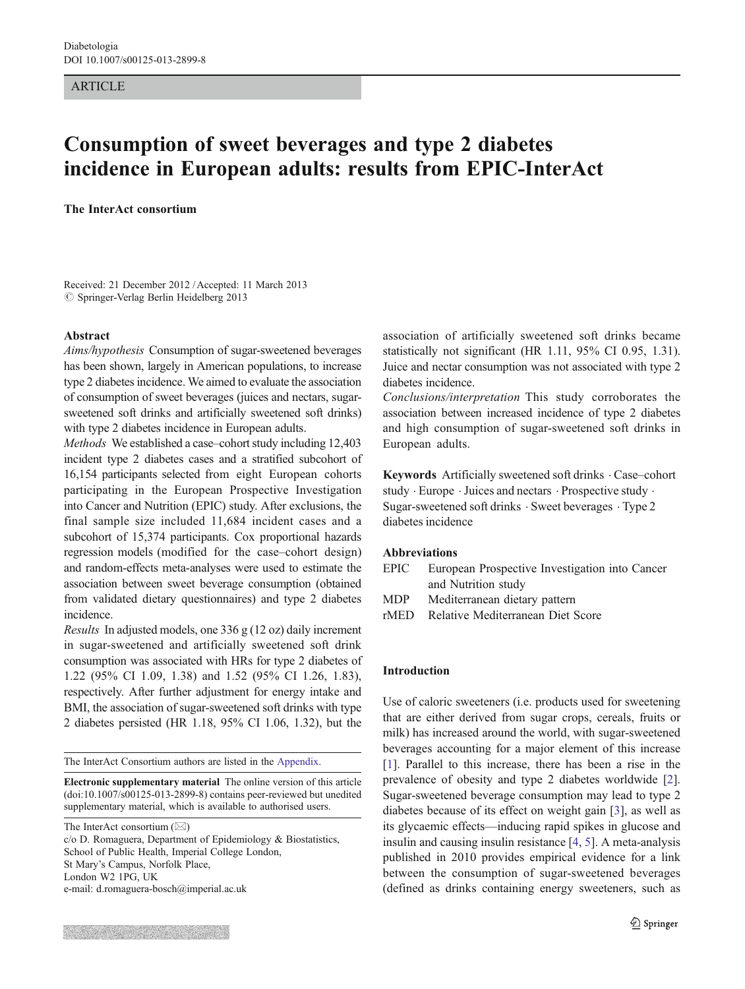#### ARTICLE

# Consumption of sweet beverages and type 2 diabetes incidence in European adults: results from EPIC-InterAct

The InterAct consortium

Received: 21 December 2012 /Accepted: 11 March 2013  $\oslash$  Springer-Verlag Berlin Heidelberg 2013

#### Abstract

Aims/hypothesis Consumption of sugar-sweetened beverages has been shown, largely in American populations, to increase type 2 diabetes incidence. We aimed to evaluate the association of consumption of sweet beverages (juices and nectars, sugarsweetened soft drinks and artificially sweetened soft drinks) with type 2 diabetes incidence in European adults.

Methods We established a case–cohort study including 12,403 incident type 2 diabetes cases and a stratified subcohort of 16,154 participants selected from eight European cohorts participating in the European Prospective Investigation into Cancer and Nutrition (EPIC) study. After exclusions, the final sample size included 11,684 incident cases and a subcohort of 15,374 participants. Cox proportional hazards regression models (modified for the case–cohort design) and random-effects meta-analyses were used to estimate the association between sweet beverage consumption (obtained from validated dietary questionnaires) and type 2 diabetes incidence.

Results In adjusted models, one 336 g (12 oz) daily increment in sugar-sweetened and artificially sweetened soft drink consumption was associated with HRs for type 2 diabetes of 1.22 (95% CI 1.09, 1.38) and 1.52 (95% CI 1.26, 1.83), respectively. After further adjustment for energy intake and BMI, the association of sugar-sweetened soft drinks with type 2 diabetes persisted (HR 1.18, 95% CI 1.06, 1.32), but the

The InterAct Consortium authors are listed in the [Appendix.](#page-9-0)

Electronic supplementary material The online version of this article (doi:[10.1007/s00125-013-2899-8](http://dx.doi.org/10.1007/s00125-013-2899-8)) contains peer-reviewed but unedited supplementary material, which is available to authorised users.

The InterAct consortium  $(\boxtimes)$ 

c/o D. Romaguera, Department of Epidemiology & Biostatistics, School of Public Health, Imperial College London, St Mary's Campus, Norfolk Place, London W2 1PG, UK e-mail: d.romaguera-bosch@imperial.ac.uk

association of artificially sweetened soft drinks became statistically not significant (HR 1.11, 95% CI 0.95, 1.31). Juice and nectar consumption was not associated with type 2 diabetes incidence.

Conclusions/interpretation This study corroborates the association between increased incidence of type 2 diabetes and high consumption of sugar-sweetened soft drinks in European adults.

Keywords Artificially sweetened soft drinks . Case–cohort study . Europe .Juices and nectars . Prospective study . Sugar-sweetened soft drinks . Sweet beverages . Type 2 diabetes incidence

# Abbreviations

- EPIC European Prospective Investigation into Cancer and Nutrition study
- MDP Mediterranean dietary pattern
- rMED Relative Mediterranean Diet Score

#### Introduction

Use of caloric sweeteners (i.e. products used for sweetening that are either derived from sugar crops, cereals, fruits or milk) has increased around the world, with sugar-sweetened beverages accounting for a major element of this increase [\[1](#page-10-0)]. Parallel to this increase, there has been a rise in the prevalence of obesity and type 2 diabetes worldwide [[2\]](#page-10-0). Sugar-sweetened beverage consumption may lead to type 2 diabetes because of its effect on weight gain [[3](#page-10-0)], as well as its glycaemic effects—inducing rapid spikes in glucose and insulin and causing insulin resistance [[4,](#page-10-0) [5\]](#page-10-0). A meta-analysis published in 2010 provides empirical evidence for a link between the consumption of sugar-sweetened beverages (defined as drinks containing energy sweeteners, such as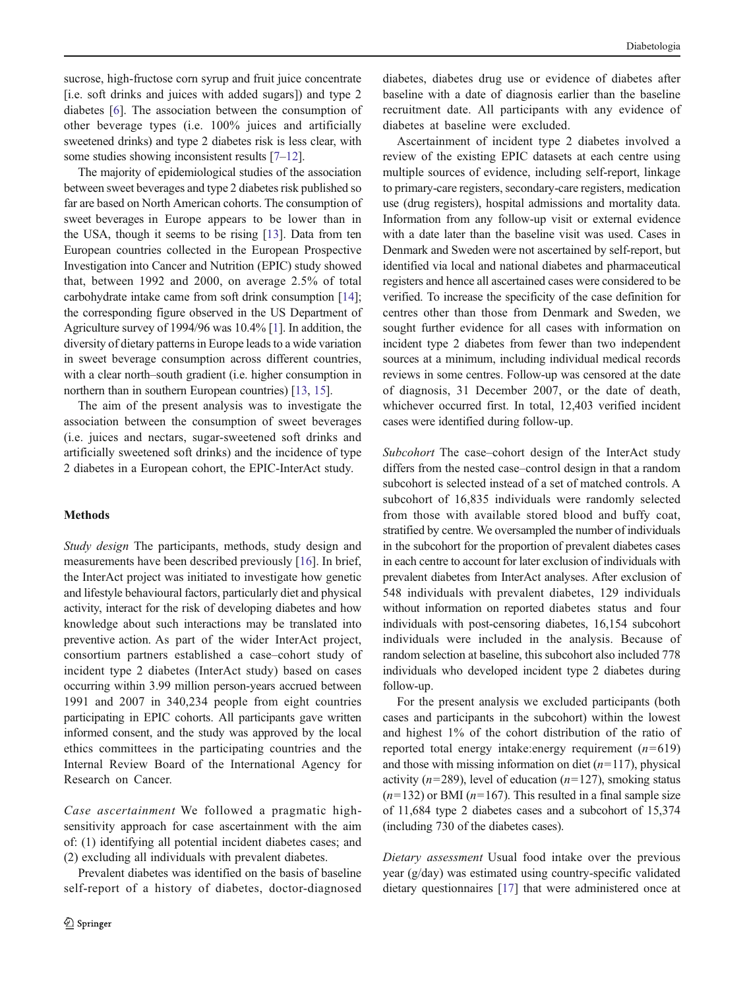sucrose, high-fructose corn syrup and fruit juice concentrate [i.e. soft drinks and juices with added sugars]) and type 2 diabetes [[6\]](#page-10-0). The association between the consumption of other beverage types (i.e. 100% juices and artificially sweetened drinks) and type 2 diabetes risk is less clear, with some studies showing inconsistent results [[7](#page-10-0)–[12](#page-10-0)].

The majority of epidemiological studies of the association between sweet beverages and type 2 diabetes risk published so far are based on North American cohorts. The consumption of sweet beverages in Europe appears to be lower than in the USA, though it seems to be rising [\[13](#page-10-0)]. Data from ten European countries collected in the European Prospective Investigation into Cancer and Nutrition (EPIC) study showed that, between 1992 and 2000, on average 2.5% of total carbohydrate intake came from soft drink consumption [[14](#page-10-0)]; the corresponding figure observed in the US Department of Agriculture survey of 1994/96 was 10.4% [\[1\]](#page-10-0). In addition, the diversity of dietary patterns in Europe leads to a wide variation in sweet beverage consumption across different countries, with a clear north–south gradient (i.e. higher consumption in northern than in southern European countries) [\[13,](#page-10-0) [15\]](#page-10-0).

The aim of the present analysis was to investigate the association between the consumption of sweet beverages (i.e. juices and nectars, sugar-sweetened soft drinks and artificially sweetened soft drinks) and the incidence of type 2 diabetes in a European cohort, the EPIC-InterAct study.

## **Methods**

Study design The participants, methods, study design and measurements have been described previously [[16\]](#page-10-0). In brief, the InterAct project was initiated to investigate how genetic and lifestyle behavioural factors, particularly diet and physical activity, interact for the risk of developing diabetes and how knowledge about such interactions may be translated into preventive action. As part of the wider InterAct project, consortium partners established a case–cohort study of incident type 2 diabetes (InterAct study) based on cases occurring within 3.99 million person-years accrued between 1991 and 2007 in 340,234 people from eight countries participating in EPIC cohorts. All participants gave written informed consent, and the study was approved by the local ethics committees in the participating countries and the Internal Review Board of the International Agency for Research on Cancer.

Case ascertainment We followed a pragmatic highsensitivity approach for case ascertainment with the aim of: (1) identifying all potential incident diabetes cases; and (2) excluding all individuals with prevalent diabetes.

Prevalent diabetes was identified on the basis of baseline self-report of a history of diabetes, doctor-diagnosed

diabetes, diabetes drug use or evidence of diabetes after baseline with a date of diagnosis earlier than the baseline recruitment date. All participants with any evidence of diabetes at baseline were excluded.

Ascertainment of incident type 2 diabetes involved a review of the existing EPIC datasets at each centre using multiple sources of evidence, including self-report, linkage to primary-care registers, secondary-care registers, medication use (drug registers), hospital admissions and mortality data. Information from any follow-up visit or external evidence with a date later than the baseline visit was used. Cases in Denmark and Sweden were not ascertained by self-report, but identified via local and national diabetes and pharmaceutical registers and hence all ascertained cases were considered to be verified. To increase the specificity of the case definition for centres other than those from Denmark and Sweden, we sought further evidence for all cases with information on incident type 2 diabetes from fewer than two independent sources at a minimum, including individual medical records reviews in some centres. Follow-up was censored at the date of diagnosis, 31 December 2007, or the date of death, whichever occurred first. In total, 12,403 verified incident cases were identified during follow-up.

Subcohort The case–cohort design of the InterAct study differs from the nested case–control design in that a random subcohort is selected instead of a set of matched controls. A subcohort of 16,835 individuals were randomly selected from those with available stored blood and buffy coat, stratified by centre. We oversampled the number of individuals in the subcohort for the proportion of prevalent diabetes cases in each centre to account for later exclusion of individuals with prevalent diabetes from InterAct analyses. After exclusion of 548 individuals with prevalent diabetes, 129 individuals without information on reported diabetes status and four individuals with post-censoring diabetes, 16,154 subcohort individuals were included in the analysis. Because of random selection at baseline, this subcohort also included 778 individuals who developed incident type 2 diabetes during follow-up.

For the present analysis we excluded participants (both cases and participants in the subcohort) within the lowest and highest 1% of the cohort distribution of the ratio of reported total energy intake: energy requirement  $(n=619)$ and those with missing information on diet  $(n=117)$ , physical activity ( $n=289$ ), level of education ( $n=127$ ), smoking status  $(n=132)$  or BMI ( $n=167$ ). This resulted in a final sample size of 11,684 type 2 diabetes cases and a subcohort of 15,374 (including 730 of the diabetes cases).

Dietary assessment Usual food intake over the previous year (g/day) was estimated using country-specific validated dietary questionnaires [\[17](#page-10-0)] that were administered once at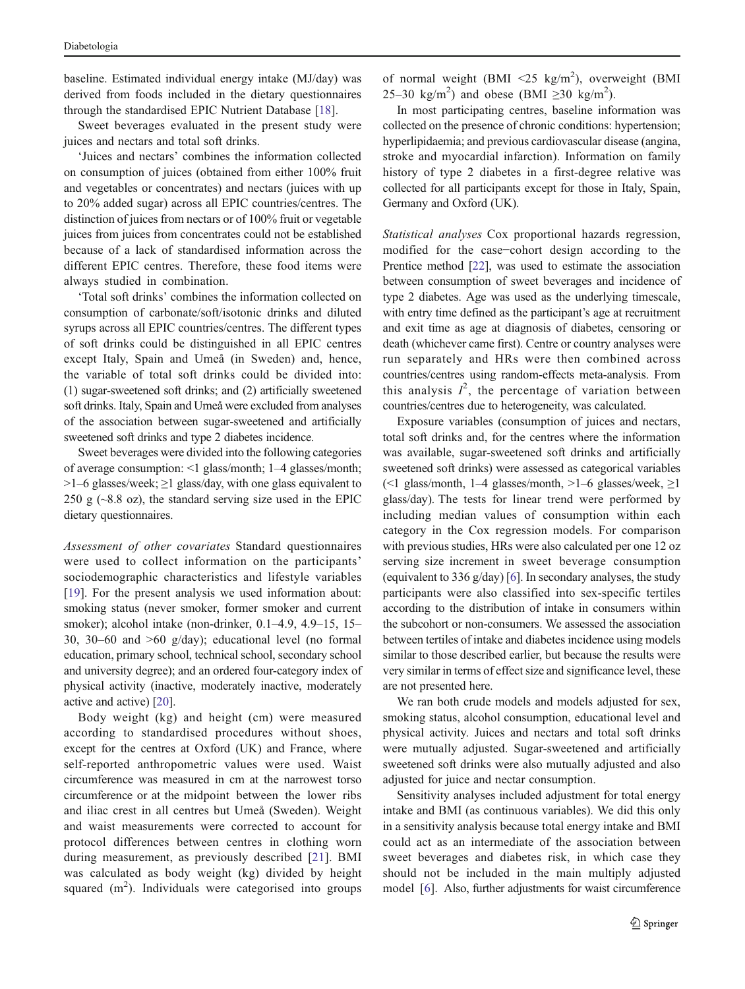baseline. Estimated individual energy intake (MJ/day) was derived from foods included in the dietary questionnaires through the standardised EPIC Nutrient Database [[18\]](#page-10-0).

Sweet beverages evaluated in the present study were juices and nectars and total soft drinks.

'Juices and nectars' combines the information collected on consumption of juices (obtained from either 100% fruit and vegetables or concentrates) and nectars (juices with up to 20% added sugar) across all EPIC countries/centres. The distinction of juices from nectars or of 100% fruit or vegetable juices from juices from concentrates could not be established because of a lack of standardised information across the different EPIC centres. Therefore, these food items were always studied in combination.

'Total soft drinks' combines the information collected on consumption of carbonate/soft/isotonic drinks and diluted syrups across all EPIC countries/centres. The different types of soft drinks could be distinguished in all EPIC centres except Italy, Spain and Umeå (in Sweden) and, hence, the variable of total soft drinks could be divided into: (1) sugar-sweetened soft drinks; and (2) artificially sweetened soft drinks. Italy, Spain and Umeå were excluded from analyses of the association between sugar-sweetened and artificially sweetened soft drinks and type 2 diabetes incidence.

Sweet beverages were divided into the following categories of average consumption: <1 glass/month; 1–4 glasses/month;  $>1-6$  glasses/week;  $\geq 1$  glass/day, with one glass equivalent to 250 g  $(\sim 8.8 \text{ oz})$ , the standard serving size used in the EPIC dietary questionnaires.

Assessment of other covariates Standard questionnaires were used to collect information on the participants' sociodemographic characteristics and lifestyle variables [\[19](#page-10-0)]. For the present analysis we used information about: smoking status (never smoker, former smoker and current smoker); alcohol intake (non-drinker, 0.1–4.9, 4.9–15, 15– 30, 30–60 and >60 g/day); educational level (no formal education, primary school, technical school, secondary school and university degree); and an ordered four-category index of physical activity (inactive, moderately inactive, moderately active and active) [\[20\]](#page-10-0).

Body weight (kg) and height (cm) were measured according to standardised procedures without shoes, except for the centres at Oxford (UK) and France, where self-reported anthropometric values were used. Waist circumference was measured in cm at the narrowest torso circumference or at the midpoint between the lower ribs and iliac crest in all centres but Umeå (Sweden). Weight and waist measurements were corrected to account for protocol differences between centres in clothing worn during measurement, as previously described [[21\]](#page-10-0). BMI was calculated as body weight (kg) divided by height squared  $(m^2)$ . Individuals were categorised into groups

of normal weight (BMI <25 kg/m<sup>2</sup>), overweight (BMI 25–30 kg/m<sup>2</sup>) and obese (BMI  $\geq$ 30 kg/m<sup>2</sup>).

In most participating centres, baseline information was collected on the presence of chronic conditions: hypertension; hyperlipidaemia; and previous cardiovascular disease (angina, stroke and myocardial infarction). Information on family history of type 2 diabetes in a first-degree relative was collected for all participants except for those in Italy, Spain, Germany and Oxford (UK).

Statistical analyses Cox proportional hazards regression, modified for the case−cohort design according to the Prentice method [[22\]](#page-10-0), was used to estimate the association between consumption of sweet beverages and incidence of type 2 diabetes. Age was used as the underlying timescale, with entry time defined as the participant's age at recruitment and exit time as age at diagnosis of diabetes, censoring or death (whichever came first). Centre or country analyses were run separately and HRs were then combined across countries/centres using random-effects meta-analysis. From this analysis  $I^2$ , the percentage of variation between countries/centres due to heterogeneity, was calculated.

Exposure variables (consumption of juices and nectars, total soft drinks and, for the centres where the information was available, sugar-sweetened soft drinks and artificially sweetened soft drinks) were assessed as categorical variables (<1 glass/month, 1–4 glasses/month,  $>1-6$  glasses/week,  $\geq 1$ glass/day). The tests for linear trend were performed by including median values of consumption within each category in the Cox regression models. For comparison with previous studies, HRs were also calculated per one 12 oz serving size increment in sweet beverage consumption (equivalent to 336 g/day) [\[6\]](#page-10-0). In secondary analyses, the study participants were also classified into sex-specific tertiles according to the distribution of intake in consumers within the subcohort or non-consumers. We assessed the association between tertiles of intake and diabetes incidence using models similar to those described earlier, but because the results were very similar in terms of effect size and significance level, these are not presented here.

We ran both crude models and models adjusted for sex, smoking status, alcohol consumption, educational level and physical activity. Juices and nectars and total soft drinks were mutually adjusted. Sugar-sweetened and artificially sweetened soft drinks were also mutually adjusted and also adjusted for juice and nectar consumption.

Sensitivity analyses included adjustment for total energy intake and BMI (as continuous variables). We did this only in a sensitivity analysis because total energy intake and BMI could act as an intermediate of the association between sweet beverages and diabetes risk, in which case they should not be included in the main multiply adjusted model [\[6](#page-10-0)]. Also, further adjustments for waist circumference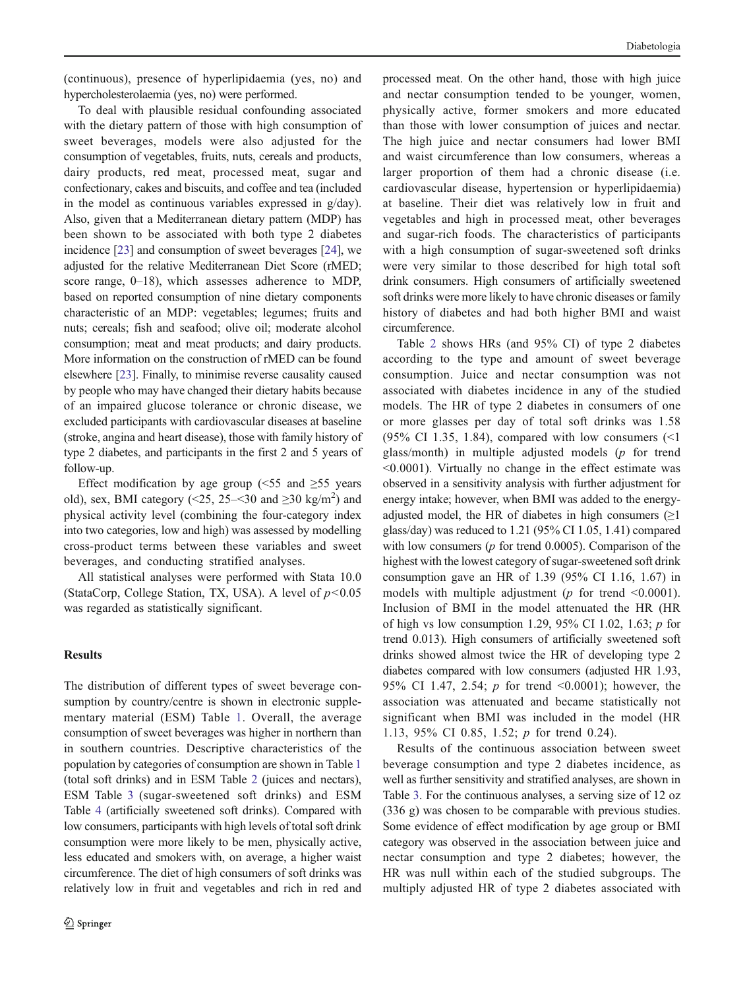(continuous), presence of hyperlipidaemia (yes, no) and hypercholesterolaemia (yes, no) were performed.

To deal with plausible residual confounding associated with the dietary pattern of those with high consumption of sweet beverages, models were also adjusted for the consumption of vegetables, fruits, nuts, cereals and products, dairy products, red meat, processed meat, sugar and confectionary, cakes and biscuits, and coffee and tea (included in the model as continuous variables expressed in g/day). Also, given that a Mediterranean dietary pattern (MDP) has been shown to be associated with both type 2 diabetes incidence [[23\]](#page-10-0) and consumption of sweet beverages [[24](#page-10-0)], we adjusted for the relative Mediterranean Diet Score (rMED; score range, 0–18), which assesses adherence to MDP, based on reported consumption of nine dietary components characteristic of an MDP: vegetables; legumes; fruits and nuts; cereals; fish and seafood; olive oil; moderate alcohol consumption; meat and meat products; and dairy products. More information on the construction of rMED can be found elsewhere [[23](#page-10-0)]. Finally, to minimise reverse causality caused by people who may have changed their dietary habits because of an impaired glucose tolerance or chronic disease, we excluded participants with cardiovascular diseases at baseline (stroke, angina and heart disease), those with family history of type 2 diabetes, and participants in the first 2 and 5 years of follow-up.

Effect modification by age group ( $\leq 55$  and  $\geq 55$  years old), sex, BMI category (<25, 25–<30 and  $\geq$ 30 kg/m<sup>2</sup>) and physical activity level (combining the four-category index into two categories, low and high) was assessed by modelling cross-product terms between these variables and sweet beverages, and conducting stratified analyses.

All statistical analyses were performed with Stata 10.0 (StataCorp, College Station, TX, USA). A level of  $p<0.05$ was regarded as statistically significant.

## **Results**

The distribution of different types of sweet beverage consumption by country/centre is shown in electronic supplementary material (ESM) Table 1. Overall, the average consumption of sweet beverages was higher in northern than in southern countries. Descriptive characteristics of the population by categories of consumption are shown in Table [1](#page-4-0) (total soft drinks) and in ESM Table 2 (juices and nectars), ESM Table 3 (sugar-sweetened soft drinks) and ESM Table 4 (artificially sweetened soft drinks). Compared with low consumers, participants with high levels of total soft drink consumption were more likely to be men, physically active, less educated and smokers with, on average, a higher waist circumference. The diet of high consumers of soft drinks was relatively low in fruit and vegetables and rich in red and processed meat. On the other hand, those with high juice and nectar consumption tended to be younger, women, physically active, former smokers and more educated than those with lower consumption of juices and nectar. The high juice and nectar consumers had lower BMI and waist circumference than low consumers, whereas a larger proportion of them had a chronic disease (i.e. cardiovascular disease, hypertension or hyperlipidaemia) at baseline. Their diet was relatively low in fruit and vegetables and high in processed meat, other beverages and sugar-rich foods. The characteristics of participants with a high consumption of sugar-sweetened soft drinks were very similar to those described for high total soft drink consumers. High consumers of artificially sweetened soft drinks were more likely to have chronic diseases or family history of diabetes and had both higher BMI and waist circumference.

Table [2](#page-5-0) shows HRs (and 95% CI) of type 2 diabetes according to the type and amount of sweet beverage consumption. Juice and nectar consumption was not associated with diabetes incidence in any of the studied models. The HR of type 2 diabetes in consumers of one or more glasses per day of total soft drinks was 1.58 (95% CI 1.35, 1.84), compared with low consumers  $\leq 1$ glass/month) in multiple adjusted models  $(p$  for trend <0.0001). Virtually no change in the effect estimate was observed in a sensitivity analysis with further adjustment for energy intake; however, when BMI was added to the energyadjusted model, the HR of diabetes in high consumers  $(\geq 1)$ glass/day) was reduced to 1.21 (95% CI 1.05, 1.41) compared with low consumers  $(p \text{ for trend } 0.0005)$ . Comparison of the highest with the lowest category of sugar-sweetened soft drink consumption gave an HR of 1.39 (95% CI 1.16, 1.67) in models with multiple adjustment ( $p$  for trend <0.0001). Inclusion of BMI in the model attenuated the HR (HR of high vs low consumption 1.29, 95% CI 1.02, 1.63;  $p$  for trend 0.013). High consumers of artificially sweetened soft drinks showed almost twice the HR of developing type 2 diabetes compared with low consumers (adjusted HR 1.93, 95% CI 1.47, 2.54; p for trend <0.0001); however, the association was attenuated and became statistically not significant when BMI was included in the model (HR 1.13, 95% CI 0.85, 1.52; p for trend 0.24).

Results of the continuous association between sweet beverage consumption and type 2 diabetes incidence, as well as further sensitivity and stratified analyses, are shown in Table [3](#page-6-0). For the continuous analyses, a serving size of 12 oz (336 g) was chosen to be comparable with previous studies. Some evidence of effect modification by age group or BMI category was observed in the association between juice and nectar consumption and type 2 diabetes; however, the HR was null within each of the studied subgroups. The multiply adjusted HR of type 2 diabetes associated with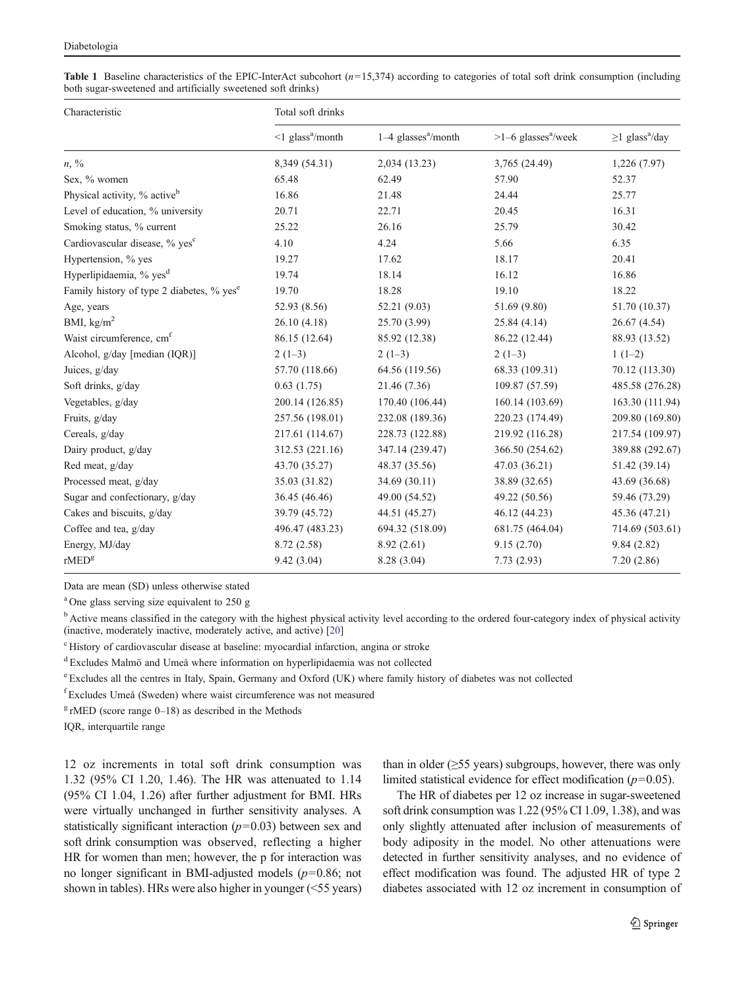<span id="page-4-0"></span>**Table 1** Baseline characteristics of the EPIC-InterAct subcohort  $(n=15,374)$  according to categories of total soft drink consumption (including both sugar-sweetened and artificially sweetened soft drinks)

| Characteristic                                        | Total soft drinks                  |                                   |                                   |                                  |
|-------------------------------------------------------|------------------------------------|-----------------------------------|-----------------------------------|----------------------------------|
|                                                       | $\leq$ 1 glass <sup>a</sup> /month | $1-4$ glasses <sup>a</sup> /month | $>1-6$ glasses <sup>a</sup> /week | $\geq$ 1 glass <sup>a</sup> /day |
| $n, \frac{0}{0}$                                      | 8,349 (54.31)                      | 2,034 (13.23)                     | 3,765 (24.49)                     | 1,226 (7.97)                     |
| Sex, % women                                          | 65.48                              | 62.49                             | 57.90                             | 52.37                            |
| Physical activity, % active <sup>b</sup>              | 16.86                              | 21.48                             | 24.44                             | 25.77                            |
| Level of education, % university                      | 20.71                              | 22.71                             | 20.45                             | 16.31                            |
| Smoking status, % current                             | 25.22                              | 26.16                             | 25.79                             | 30.42                            |
| Cardiovascular disease, % yes <sup>c</sup>            | 4.10                               | 4.24                              | 5.66                              | 6.35                             |
| Hypertension, % yes                                   | 19.27                              | 17.62                             | 18.17                             | 20.41                            |
| Hyperlipidaemia, % yes <sup>d</sup>                   | 19.74                              | 18.14                             | 16.12                             | 16.86                            |
| Family history of type 2 diabetes, % yes <sup>e</sup> | 19.70                              | 18.28                             | 19.10                             | 18.22                            |
| Age, years                                            | 52.93 (8.56)                       | 52.21 (9.03)                      | 51.69 (9.80)                      | 51.70 (10.37)                    |
| BMI, $\text{kg/m}^2$                                  | 26.10(4.18)                        | 25.70 (3.99)                      | 25.84 (4.14)                      | 26.67 (4.54)                     |
| Waist circumference, cm <sup>f</sup>                  | 86.15 (12.64)                      | 85.92 (12.38)                     | 86.22 (12.44)                     | 88.93 (13.52)                    |
| Alcohol, g/day [median (IQR)]                         | $2(1-3)$                           | $2(1-3)$                          | $2(1-3)$                          | $1(1-2)$                         |
| Juices, g/day                                         | 57.70 (118.66)                     | 64.56 (119.56)                    | 68.33 (109.31)                    | 70.12 (113.30)                   |
| Soft drinks, g/day                                    | 0.63(1.75)                         | 21.46 (7.36)                      | 109.87 (57.59)                    | 485.58 (276.28)                  |
| Vegetables, g/day                                     | 200.14 (126.85)                    | 170.40 (106.44)                   | 160.14 (103.69)                   | 163.30 (111.94)                  |
| Fruits, g/day                                         | 257.56 (198.01)                    | 232.08 (189.36)                   | 220.23 (174.49)                   | 209.80 (169.80)                  |
| Cereals, g/day                                        | 217.61 (114.67)                    | 228.73 (122.88)                   | 219.92 (116.28)                   | 217.54 (109.97)                  |
| Dairy product, g/day                                  | 312.53 (221.16)                    | 347.14 (239.47)                   | 366.50 (254.62)                   | 389.88 (292.67)                  |
| Red meat, g/day                                       | 43.70 (35.27)                      | 48.37 (35.56)                     | 47.03 (36.21)                     | 51.42 (39.14)                    |
| Processed meat, g/day                                 | 35.03 (31.82)                      | 34.69 (30.11)                     | 38.89 (32.65)                     | 43.69 (36.68)                    |
| Sugar and confectionary, g/day                        | 36.45 (46.46)                      | 49.00 (54.52)                     | 49.22 (50.56)                     | 59.46 (73.29)                    |
| Cakes and biscuits, g/day                             | 39.79 (45.72)                      | 44.51 (45.27)                     | 46.12 (44.23)                     | 45.36 (47.21)                    |
| Coffee and tea, g/day                                 | 496.47 (483.23)                    | 694.32 (518.09)                   | 681.75 (464.04)                   | 714.69 (503.61)                  |
| Energy, MJ/day                                        | 8.72 (2.58)                        | 8.92(2.61)                        | 9.15(2.70)                        | 9.84(2.82)                       |
| $r\text{MED}^g$                                       | 9.42(3.04)                         | 8.28 (3.04)                       | 7.73(2.93)                        | 7.20(2.86)                       |

Data are mean (SD) unless otherwise stated

<sup>a</sup> One glass serving size equivalent to 250 g

<sup>b</sup> Active means classified in the category with the highest physical activity level according to the ordered four-category index of physical activity (inactive, moderately inactive, moderately active, and active) [[20](#page-10-0)]

<sup>c</sup> History of cardiovascular disease at baseline: myocardial infarction, angina or stroke

<sup>d</sup> Excludes Malmö and Umeå where information on hyperlipidaemia was not collected

<sup>e</sup> Excludes all the centres in Italy, Spain, Germany and Oxford (UK) where family history of diabetes was not collected

f Excludes Umeå (Sweden) where waist circumference was not measured

 $g$  rMED (score range 0–18) as described in the Methods

IQR, interquartile range

12 oz increments in total soft drink consumption was 1.32 (95% CI 1.20, 1.46). The HR was attenuated to 1.14 (95% CI 1.04, 1.26) after further adjustment for BMI. HRs were virtually unchanged in further sensitivity analyses. A statistically significant interaction  $(p=0.03)$  between sex and soft drink consumption was observed, reflecting a higher HR for women than men; however, the p for interaction was no longer significant in BMI-adjusted models ( $p=0.86$ ; not shown in tables). HRs were also higher in younger (<55 years)

than in older  $(\geq 55$  years) subgroups, however, there was only limited statistical evidence for effect modification  $(p=0.05)$ .

The HR of diabetes per 12 oz increase in sugar-sweetened soft drink consumption was 1.22 (95% CI 1.09, 1.38), and was only slightly attenuated after inclusion of measurements of body adiposity in the model. No other attenuations were detected in further sensitivity analyses, and no evidence of effect modification was found. The adjusted HR of type 2 diabetes associated with 12 oz increment in consumption of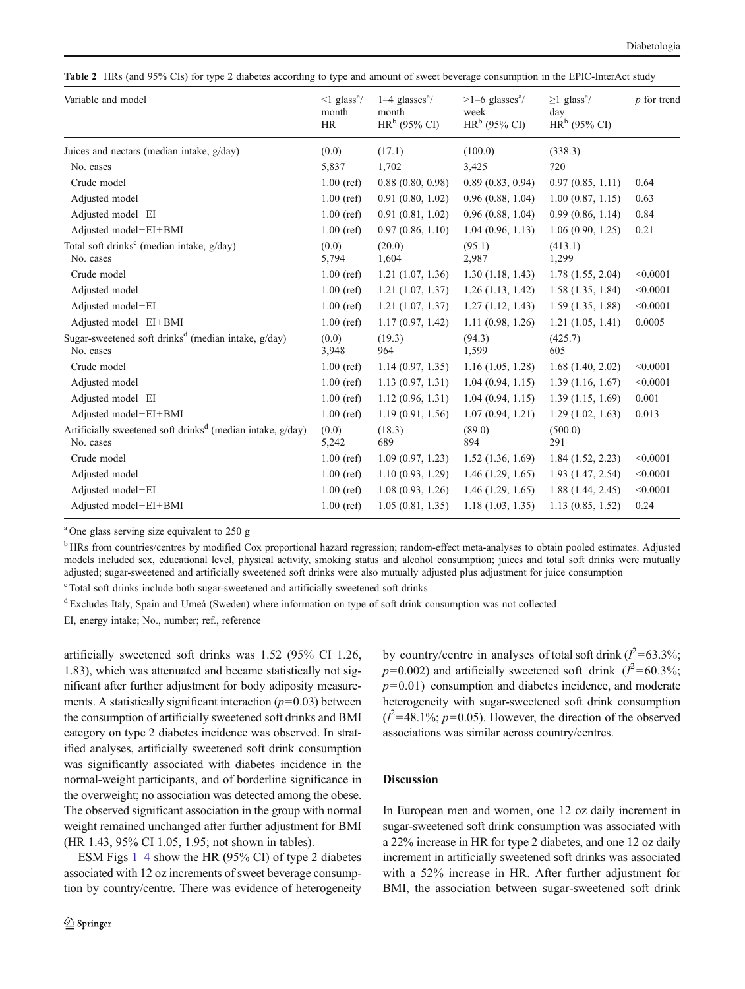<span id="page-5-0"></span>Table 2 HRs (and 95% CIs) for type 2 diabetes according to type and amount of sweet beverage consumption in the EPIC-InterAct study

| Variable and model                                                                     | $\leq$ 1 glass <sup>a</sup> /<br>month<br>HR | $1-4$ glasses <sup>a</sup> /<br>month<br>$HRb$ (95% CI) | $>1-6$ glasses <sup>a</sup> /<br>week<br>$HRb$ (95% CI) | $\geq$ 1 glass <sup>a</sup> /<br>day<br>$HRb$ (95% CI) | $p$ for trend |
|----------------------------------------------------------------------------------------|----------------------------------------------|---------------------------------------------------------|---------------------------------------------------------|--------------------------------------------------------|---------------|
| Juices and nectars (median intake, g/day)                                              | (0.0)                                        | (17.1)                                                  | (100.0)                                                 | (338.3)                                                |               |
| No. cases                                                                              | 5,837                                        | 1,702                                                   | 3,425                                                   | 720                                                    |               |
| Crude model                                                                            | $1.00$ (ref)                                 | 0.88(0.80, 0.98)                                        | 0.89(0.83, 0.94)                                        | 0.97(0.85, 1.11)                                       | 0.64          |
| Adjusted model                                                                         | $1.00$ (ref)                                 | 0.91(0.80, 1.02)                                        | 0.96(0.88, 1.04)                                        | 1.00(0.87, 1.15)                                       | 0.63          |
| Adjusted model+EI                                                                      | $1.00$ (ref)                                 | 0.91(0.81, 1.02)                                        | 0.96(0.88, 1.04)                                        | 0.99(0.86, 1.14)                                       | 0.84          |
| Adjusted model+EI+BMI                                                                  | $1.00$ (ref)                                 | 0.97(0.86, 1.10)                                        | 1.04(0.96, 1.13)                                        | 1.06(0.90, 1.25)                                       | 0.21          |
| Total soft drinks <sup>c</sup> (median intake, g/day)<br>No. cases                     | (0.0)<br>5,794                               | (20.0)<br>1,604                                         | (95.1)<br>2,987                                         | (413.1)<br>1,299                                       |               |
| Crude model                                                                            | $1.00$ (ref)                                 | 1.21(1.07, 1.36)                                        | 1.30(1.18, 1.43)                                        | 1.78(1.55, 2.04)                                       | < 0.0001      |
| Adjusted model                                                                         | $1.00$ (ref)                                 | 1.21(1.07, 1.37)                                        | 1.26(1.13, 1.42)                                        | 1.58(1.35, 1.84)                                       | < 0.0001      |
| Adjusted model+EI                                                                      | $1.00$ (ref)                                 | 1.21(1.07, 1.37)                                        | 1.27(1.12, 1.43)                                        | 1.59(1.35, 1.88)                                       | < 0.0001      |
| Adjusted model+EI+BMI                                                                  | $1.00$ (ref)                                 | 1.17(0.97, 1.42)                                        | 1.11(0.98, 1.26)                                        | 1.21(1.05, 1.41)                                       | 0.0005        |
| Sugar-sweetened soft drinks <sup>d</sup> (median intake, $g/day$ )<br>No. cases        | (0.0)<br>3,948                               | (19.3)<br>964                                           | (94.3)<br>1,599                                         | (425.7)<br>605                                         |               |
| Crude model                                                                            | $1.00$ (ref)                                 | 1.14(0.97, 1.35)                                        | 1.16(1.05, 1.28)                                        | 1.68(1.40, 2.02)                                       | < 0.0001      |
| Adjusted model                                                                         | $1.00$ (ref)                                 | 1.13(0.97, 1.31)                                        | 1.04(0.94, 1.15)                                        | 1.39(1.16, 1.67)                                       | < 0.0001      |
| Adjusted model+EI                                                                      | $1.00$ (ref)                                 | 1.12(0.96, 1.31)                                        | 1.04(0.94, 1.15)                                        | 1.39(1.15, 1.69)                                       | 0.001         |
| Adjusted model+EI+BMI                                                                  | $1.00$ (ref)                                 | 1.19(0.91, 1.56)                                        | 1.07(0.94, 1.21)                                        | 1.29(1.02, 1.63)                                       | 0.013         |
| Artificially sweetened soft drinks <sup>d</sup> (median intake, $g/day$ )<br>No. cases | (0.0)<br>5,242                               | (18.3)<br>689                                           | (89.0)<br>894                                           | (500.0)<br>291                                         |               |
| Crude model                                                                            | $1.00$ (ref)                                 | 1.09(0.97, 1.23)                                        | 1.52(1.36, 1.69)                                        | 1.84(1.52, 2.23)                                       | < 0.0001      |
| Adjusted model                                                                         | $1.00$ (ref)                                 | 1.10(0.93, 1.29)                                        | 1.46(1.29, 1.65)                                        | 1.93(1.47, 2.54)                                       | < 0.0001      |
| Adjusted model+EI                                                                      | $1.00$ (ref)                                 | 1.08(0.93, 1.26)                                        | 1.46(1.29, 1.65)                                        | 1.88(1.44, 2.45)                                       | < 0.0001      |
| Adjusted model+EI+BMI                                                                  | $1.00$ (ref)                                 | 1.05(0.81, 1.35)                                        | 1.18(1.03, 1.35)                                        | 1.13(0.85, 1.52)                                       | 0.24          |

<sup>a</sup> One glass serving size equivalent to 250 g

<sup>b</sup> HRs from countries/centres by modified Cox proportional hazard regression; random-effect meta-analyses to obtain pooled estimates. Adjusted models included sex, educational level, physical activity, smoking status and alcohol consumption; juices and total soft drinks were mutually adjusted; sugar-sweetened and artificially sweetened soft drinks were also mutually adjusted plus adjustment for juice consumption

<sup>c</sup> Total soft drinks include both sugar-sweetened and artificially sweetened soft drinks

<sup>d</sup> Excludes Italy, Spain and Umeå (Sweden) where information on type of soft drink consumption was not collected

EI, energy intake; No., number; ref., reference

artificially sweetened soft drinks was 1.52 (95% CI 1.26, 1.83), which was attenuated and became statistically not significant after further adjustment for body adiposity measurements. A statistically significant interaction  $(p=0.03)$  between the consumption of artificially sweetened soft drinks and BMI category on type 2 diabetes incidence was observed. In stratified analyses, artificially sweetened soft drink consumption was significantly associated with diabetes incidence in the normal-weight participants, and of borderline significance in the overweight; no association was detected among the obese. The observed significant association in the group with normal weight remained unchanged after further adjustment for BMI (HR 1.43, 95% CI 1.05, 1.95; not shown in tables).

ESM Figs 1–4 show the HR (95% CI) of type 2 diabetes associated with 12 oz increments of sweet beverage consumption by country/centre. There was evidence of heterogeneity

by country/centre in analyses of total soft drink  $(I^2=63.3\%;$  $p=0.002$ ) and artificially sweetened soft drink ( $l^2=60.3\%$ ;  $p=0.01$ ) consumption and diabetes incidence, and moderate heterogeneity with sugar-sweetened soft drink consumption  $(I^2=48.1\%; p=0.05)$ . However, the direction of the observed associations was similar across country/centres.

# **Discussion**

In European men and women, one 12 oz daily increment in sugar-sweetened soft drink consumption was associated with a 22% increase in HR for type 2 diabetes, and one 12 oz daily increment in artificially sweetened soft drinks was associated with a 52% increase in HR. After further adjustment for BMI, the association between sugar-sweetened soft drink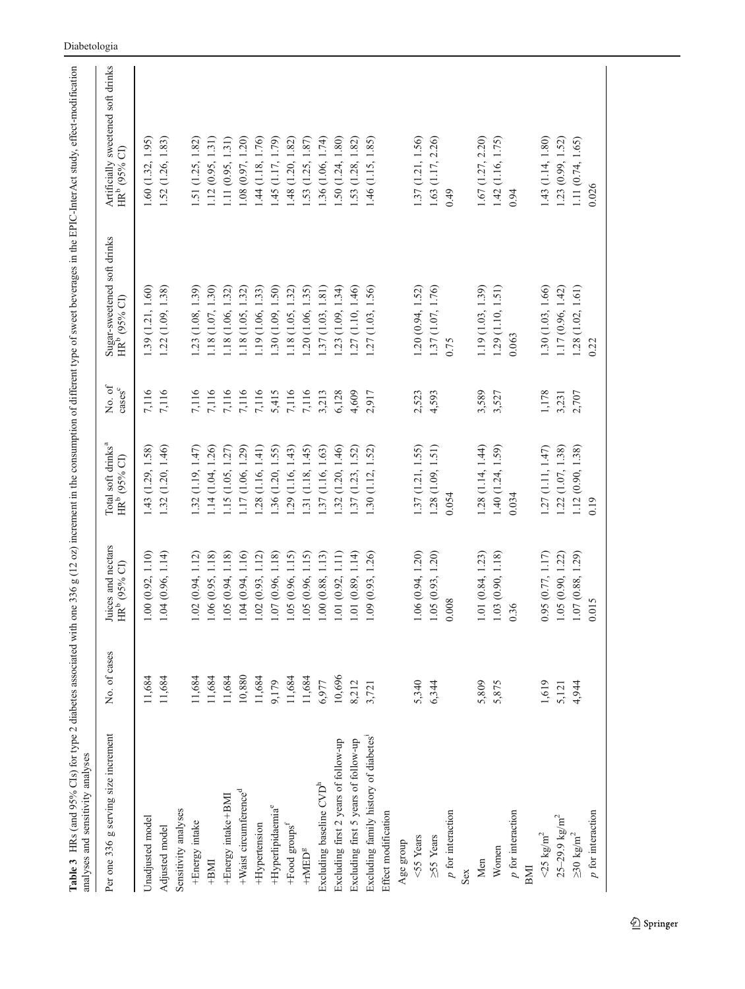<span id="page-6-0"></span>

| Table 3 HRs (and 95% CIs) for type 2 diabetes associated with one 336 g (12 oz) increment in the consumption of different type of sweet beverages in the EPIC-InterAct study, effect-modification<br>analyses and sensitivity analyses |              |                                                |                                                            |                    |                                                         |                                                                |
|----------------------------------------------------------------------------------------------------------------------------------------------------------------------------------------------------------------------------------------|--------------|------------------------------------------------|------------------------------------------------------------|--------------------|---------------------------------------------------------|----------------------------------------------------------------|
| Per one 336 g serving size increment                                                                                                                                                                                                   | No. of cases | Juices and nectars<br>HR <sup>b</sup> (95% CI) | Total soft drinks <sup>a</sup><br>HR <sup>b</sup> (95% CI) | No. of<br>$\csc^c$ | Sugar-sweetened soft drinks<br>HR <sup>b</sup> (95% CI) | Artificially sweetened soft drinks<br>HR <sup>b</sup> (95% CI) |
| Unadjusted model                                                                                                                                                                                                                       | 11,684       | 1.00(0.92, 1.10)                               | 1.43 (1.29, 1.58)                                          | 7,116              | 1.39 (1.21, 1.60)                                       | 1.60(1.32, 1.95)                                               |
| Adjusted model                                                                                                                                                                                                                         | 11,684       | 1.04(0.96, 1.14)                               | 1.32 (1.20, 1.46)                                          | 7,116              | 1.22(1.09, 1.38)                                        | 1.52 (1.26, 1.83)                                              |
| Sensitivity analyses                                                                                                                                                                                                                   |              |                                                |                                                            |                    |                                                         |                                                                |
| +Energy intake                                                                                                                                                                                                                         | 11,684       | 1.02(0.94, 1.12)                               | 1.32 (1.19, 1.47)                                          | 7,116              | .23(1.08, 1.39)                                         | .51(1.25, 1.82)                                                |
| $+BM1$                                                                                                                                                                                                                                 | 11,684       | 1.18<br>1.06 (0.95,                            | 1.14(1.04, 1.26)                                           | 7,116              | 1.18(1.07, 1.30)                                        | 1.12(0.95, 1.31)                                               |
| +Energy intake+BMI                                                                                                                                                                                                                     | 11,684       | 1.18<br>1.05 (0.94,                            | 1.15(1.05, 1.27)                                           | 7,116              | $1.18$ $(1.06, 1.32)$                                   | 1.11(0.95, 1.31)                                               |
| +Waist circumference <sup>d</sup>                                                                                                                                                                                                      | 10,880       | 1.04(0.94, 1.16)                               | 1.17 (1.06, 1.29)                                          | 7,116              | $1.18$ $(1.05, 1.32)$                                   | 1.08(0.97, 1.20)                                               |
| +Hypertension                                                                                                                                                                                                                          | 11,684       | 1.02(0.93, 1.12)                               | (1.28(1.16, 1.41))                                         | 7,116              | $1.19$ $(1.06, 1.33)$                                   | .44 (1.18, 1.76)                                               |
| +Hyperlipidaemia <sup>e</sup>                                                                                                                                                                                                          | 9,179        | 1.18)<br>1.07 (0.96,                           | $1.36$ $(1.20, 1.55)$                                      | 5,415              | .30(1.09, 1.50)                                         | 45 (1.17, 1.79)                                                |
| +Food groups <sup>f</sup>                                                                                                                                                                                                              | 11,684       | 1.15<br>1.05 (0.96,                            | 1.29(1.16, 1.43)                                           | 7,116              | .18(1.05, 1.32)                                         | .48(1.20, 1.82)                                                |
| $+\mathrm{rMED}^g$                                                                                                                                                                                                                     | 11,684       | 1.15<br>1.05 (0.96,                            | 1.31(1.18, 1.45)                                           | 7,116              | .20(1.06, 1.35)                                         | .53(1.25, 1.87)                                                |
| Excluding baseline CVD <sup>h</sup>                                                                                                                                                                                                    | 6,977        | 1.00(0.88, 1.13)                               | 1.37 (1.16, 1.63)                                          | 3,213              | .37(1.03, 1.81)                                         | .36(1.06, 1.74)                                                |
| Excluding first 2 years of follow-up                                                                                                                                                                                                   | 10,696       | 1.01(0.92, 1.11)                               | 1.32(1.20, 1.46)                                           | 6,128              | .23(1.09, 1.34)                                         | .50(1.24, 1.80)                                                |
| Excluding first 5 years of follow-up                                                                                                                                                                                                   | 8,212        | 1.01(0.89, 1.14)                               | .37(1.23, 1.52)                                            | 4,609              | 27 (1.10, 1.46)                                         | $.53$ $(1.28, 1.82)$                                           |
| Excluding family history of diabetes <sup>1</sup>                                                                                                                                                                                      | 3,721        | 1.09 (0.93, 1.26)                              | 1.30(1.12, 1.52)                                           | 2,917              | 1.27(1.03, 1.56)                                        | $1.46$ (1.15, 1.85)                                            |
| Effect modification                                                                                                                                                                                                                    |              |                                                |                                                            |                    |                                                         |                                                                |
| Age group                                                                                                                                                                                                                              |              |                                                |                                                            |                    |                                                         |                                                                |
| <55 Years                                                                                                                                                                                                                              | 5,340        | 1.06 (0.94, 1.20)                              | 1.37 (1.21, 1.55)                                          | 2,523              | 1.20(0.94, 1.52)                                        | 1.37(1.21, 1.56)                                               |
| $\geq 55$ Years                                                                                                                                                                                                                        | 6,344        | 1.05(0.93, 1.20)                               | 1.28 (1.09, 1.51)                                          | 4,593              | 1.37 (1.07, 1.76)                                       | 1.63 (1.17, 2.26)                                              |
| $\boldsymbol{p}$ for interaction                                                                                                                                                                                                       |              | 0.008                                          | 0.054                                                      |                    | 0.75                                                    | 0.49                                                           |
| Sex                                                                                                                                                                                                                                    |              |                                                |                                                            |                    |                                                         |                                                                |
| Men                                                                                                                                                                                                                                    | 5,809        | 1.01(0.84, 1.23)                               | 1.28 (1.14, 1.44)                                          | 3,589              | 1.19 (1.03, 1.39)                                       | 1.67 (1.27, 2.20)                                              |
| Women                                                                                                                                                                                                                                  | 5,875        | 1.03(0.90, 1.18)                               | 1.40 (1.24, 1.59)                                          | 3,527              | 1.29 (1.10, 1.51)                                       | 1.42 (1.16, 1.75)                                              |
| $p$ for interaction                                                                                                                                                                                                                    |              | 0.36                                           | 0.034                                                      |                    | 0.063                                                   | 0.94                                                           |
| BMI                                                                                                                                                                                                                                    |              |                                                |                                                            |                    |                                                         |                                                                |
| $<$ 25 $\mathrm{kg/m}^2$                                                                                                                                                                                                               | 1,619        | 0.95(0.77, 1.17)                               | 1.27(1.11, 1.47)                                           | 1,178              | 1.30 (1.03, 1.66)                                       | 1.43(1.14, 1.80)                                               |
| $25 - 29.9$ kg/m <sup>2</sup>                                                                                                                                                                                                          | 5,121        | 1.05(0.90, 1.22)                               | 1.22(1.07, 1.38)                                           | 3,231              | 1.17(0.96, 1.42)                                        | 1.23(0.99, 1.52)                                               |
| ${\geq}30~\text{kg/m}^2$                                                                                                                                                                                                               | 4,944        | 1.07 (0.88, 1.29)                              | 1.12 (0.90, 1.38)                                          | 2,707              | $1.28$ $(1.02, 1.61)$                                   | 1.11 (0.74, 1.65)                                              |
| $p$ for interaction                                                                                                                                                                                                                    |              | 0.015                                          | 0.19                                                       |                    | 0.22                                                    | 0.026                                                          |
|                                                                                                                                                                                                                                        |              |                                                |                                                            |                    |                                                         |                                                                |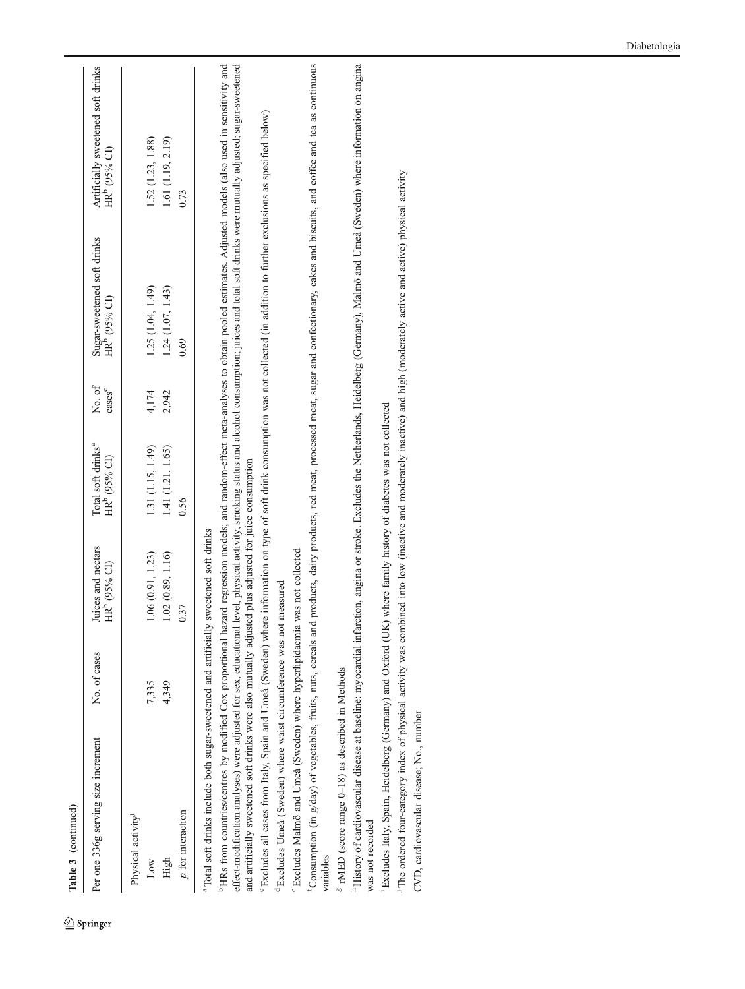| Per one 336g serving size increment                                                                                                                                                                               | No. of cases | Juices and nectars<br>HR <sup>b</sup> (95% CI) | Total soft drinks <sup>a</sup><br>HR <sup>b</sup> (95% CI) | No. of<br>$\csc^c$ | Sugar-sweetened soft drinks<br>HR <sup>b</sup> (95% CI) | Artificially sweetened soft drinks<br>HR <sup>b</sup> (95% CI)                                                                         |
|-------------------------------------------------------------------------------------------------------------------------------------------------------------------------------------------------------------------|--------------|------------------------------------------------|------------------------------------------------------------|--------------------|---------------------------------------------------------|----------------------------------------------------------------------------------------------------------------------------------------|
| Physical activity <sup>J</sup>                                                                                                                                                                                    |              |                                                |                                                            |                    |                                                         |                                                                                                                                        |
| Low                                                                                                                                                                                                               | 7,335        | 1.06(0.91, 1.23)                               | 1.31 (1.15, 1.49)                                          | 4,174              | 1.25 (1.04, 1.49)                                       | 1.52 (1.23, 1.88)                                                                                                                      |
| High                                                                                                                                                                                                              | 4,349        | 1.02(0.89, 1.16)                               | 1.41 (1.21, 1.65)                                          | 2,942              | 1.24(1.07, 1.43)                                        | 1.61 (1.19, 2.19)                                                                                                                      |
| $p$ for interaction                                                                                                                                                                                               |              | 0.37                                           | 0.56                                                       |                    | 0.69                                                    | 0.73                                                                                                                                   |
|                                                                                                                                                                                                                   |              |                                                |                                                            |                    |                                                         |                                                                                                                                        |
| a Total soft drinks include both sugar-sweetened and artificially                                                                                                                                                 |              | sweetened soft drinks                          |                                                            |                    |                                                         |                                                                                                                                        |
| <sup>b</sup> HRs from countries/centres by modified Cox proportional hazard regression models; and random-effect meta-analyses to obtain pooled estimates. Adjusted models (also used in sensitivity and          |              |                                                |                                                            |                    |                                                         |                                                                                                                                        |
| and artificially sweetened soft drinks were also mutually adjusted plus adjusted for juice consumption<br>effect-modification analyses) were adjusted for sex, educational                                        |              |                                                |                                                            |                    |                                                         | level, physical activity, smoking status and alcohol consumption; juices and total soft drinks were mutually adjusted; sugar-sweetened |
| <sup>6</sup> Excludes all cases from Italy, Spain and Umeå (Sweden) where information on type of soft drink consumption was not collected (in addition to further exclusions as specified below)                  |              |                                                |                                                            |                    |                                                         |                                                                                                                                        |
| <sup>d</sup> Excludes Umeå (Sweden) where waist circumference was not                                                                                                                                             |              | measured                                       |                                                            |                    |                                                         |                                                                                                                                        |
| <sup>e</sup> Excludes Malmö and Umeå (Sweden) where hyperlipidaemia was not collected                                                                                                                             |              |                                                |                                                            |                    |                                                         |                                                                                                                                        |
| Consumption (in g/day) of vegetables, fruits, nuts, cereals and products, dairy products, red meat, processed meat, sugar and confectionary, cakes and biscuits, and coffee and tea as continuous<br>variables    |              |                                                |                                                            |                    |                                                         |                                                                                                                                        |
| <sup>8</sup> rMED (score range 0-18) as described in Methods                                                                                                                                                      |              |                                                |                                                            |                    |                                                         |                                                                                                                                        |
| h History of cardiovascular disease at baseline: myocardial infarction, angina or stroke. Excludes the Netherlands, Heidelberg (Germany), Malmö and Umeå (Sweden) where information on angina<br>was not recorded |              |                                                |                                                            |                    |                                                         |                                                                                                                                        |
| <sup>1</sup> Excludes Italy, Spain, Heidelberg (Germany) and Oxford (UK) where family history of diabetes was not collected                                                                                       |              |                                                |                                                            |                    |                                                         |                                                                                                                                        |
| The ordered four-category index of physical activity was combined into low (inactive and moderately and high (moderately active and active) physical activity                                                     |              |                                                |                                                            |                    |                                                         |                                                                                                                                        |
| CVD, cardiovascular disease; No., number                                                                                                                                                                          |              |                                                |                                                            |                    |                                                         |                                                                                                                                        |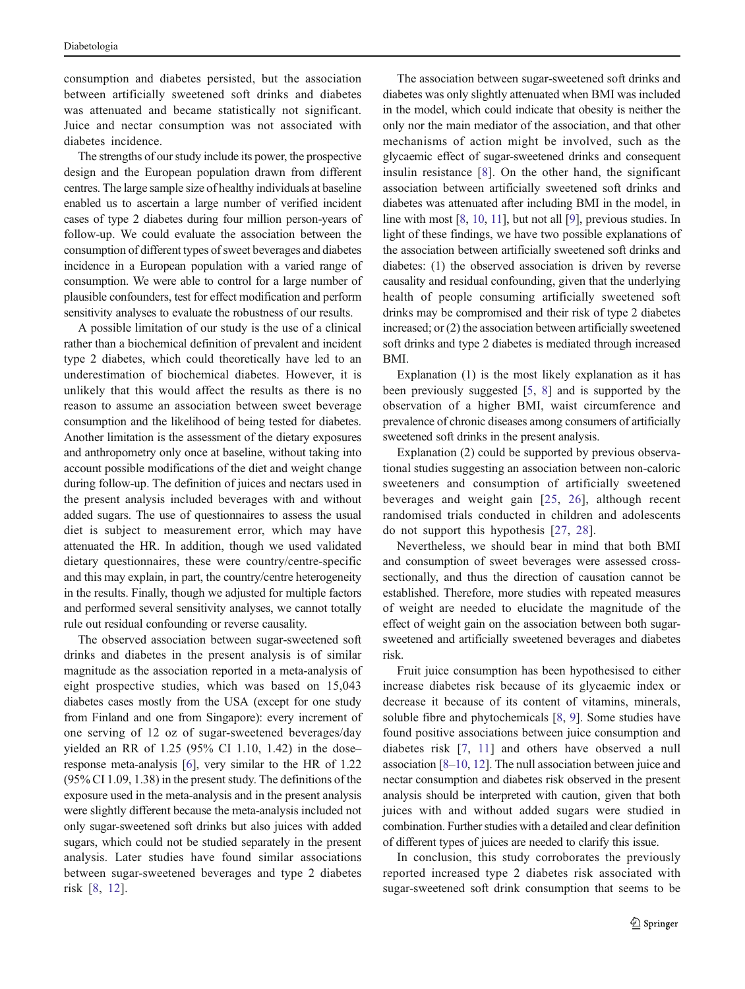consumption and diabetes persisted, but the association between artificially sweetened soft drinks and diabetes was attenuated and became statistically not significant. Juice and nectar consumption was not associated with diabetes incidence.

The strengths of our study include its power, the prospective design and the European population drawn from different centres. The large sample size of healthy individuals at baseline enabled us to ascertain a large number of verified incident cases of type 2 diabetes during four million person-years of follow-up. We could evaluate the association between the consumption of different types of sweet beverages and diabetes incidence in a European population with a varied range of consumption. We were able to control for a large number of plausible confounders, test for effect modification and perform sensitivity analyses to evaluate the robustness of our results.

A possible limitation of our study is the use of a clinical rather than a biochemical definition of prevalent and incident type 2 diabetes, which could theoretically have led to an underestimation of biochemical diabetes. However, it is unlikely that this would affect the results as there is no reason to assume an association between sweet beverage consumption and the likelihood of being tested for diabetes. Another limitation is the assessment of the dietary exposures and anthropometry only once at baseline, without taking into account possible modifications of the diet and weight change during follow-up. The definition of juices and nectars used in the present analysis included beverages with and without added sugars. The use of questionnaires to assess the usual diet is subject to measurement error, which may have attenuated the HR. In addition, though we used validated dietary questionnaires, these were country/centre-specific and this may explain, in part, the country/centre heterogeneity in the results. Finally, though we adjusted for multiple factors and performed several sensitivity analyses, we cannot totally rule out residual confounding or reverse causality.

The observed association between sugar-sweetened soft drinks and diabetes in the present analysis is of similar magnitude as the association reported in a meta-analysis of eight prospective studies, which was based on 15,043 diabetes cases mostly from the USA (except for one study from Finland and one from Singapore): every increment of one serving of 12 oz of sugar-sweetened beverages/day yielded an RR of 1.25 (95% CI 1.10, 1.42) in the dose– response meta-analysis [[6\]](#page-10-0), very similar to the HR of 1.22 (95% CI 1.09, 1.38) in the present study. The definitions of the exposure used in the meta-analysis and in the present analysis were slightly different because the meta-analysis included not only sugar-sweetened soft drinks but also juices with added sugars, which could not be studied separately in the present analysis. Later studies have found similar associations between sugar-sweetened beverages and type 2 diabetes risk [[8](#page-10-0), [12](#page-10-0)].

The association between sugar-sweetened soft drinks and diabetes was only slightly attenuated when BMI was included in the model, which could indicate that obesity is neither the only nor the main mediator of the association, and that other mechanisms of action might be involved, such as the glycaemic effect of sugar-sweetened drinks and consequent insulin resistance [\[8](#page-10-0)]. On the other hand, the significant association between artificially sweetened soft drinks and diabetes was attenuated after including BMI in the model, in line with most [[8](#page-10-0), [10](#page-10-0), [11\]](#page-10-0), but not all [\[9](#page-10-0)], previous studies. In light of these findings, we have two possible explanations of the association between artificially sweetened soft drinks and diabetes: (1) the observed association is driven by reverse causality and residual confounding, given that the underlying health of people consuming artificially sweetened soft drinks may be compromised and their risk of type 2 diabetes increased; or (2) the association between artificially sweetened soft drinks and type 2 diabetes is mediated through increased BMI.

Explanation (1) is the most likely explanation as it has been previously suggested [[5,](#page-10-0) [8](#page-10-0)] and is supported by the observation of a higher BMI, waist circumference and prevalence of chronic diseases among consumers of artificially sweetened soft drinks in the present analysis.

Explanation (2) could be supported by previous observational studies suggesting an association between non-caloric sweeteners and consumption of artificially sweetened beverages and weight gain [[25,](#page-10-0) [26\]](#page-10-0), although recent randomised trials conducted in children and adolescents do not support this hypothesis [[27,](#page-10-0) [28](#page-10-0)].

Nevertheless, we should bear in mind that both BMI and consumption of sweet beverages were assessed crosssectionally, and thus the direction of causation cannot be established. Therefore, more studies with repeated measures of weight are needed to elucidate the magnitude of the effect of weight gain on the association between both sugarsweetened and artificially sweetened beverages and diabetes risk.

Fruit juice consumption has been hypothesised to either increase diabetes risk because of its glycaemic index or decrease it because of its content of vitamins, minerals, soluble fibre and phytochemicals [\[8](#page-10-0), [9\]](#page-10-0). Some studies have found positive associations between juice consumption and diabetes risk [[7](#page-10-0), [11](#page-10-0)] and others have observed a null association [\[8](#page-10-0)–[10,](#page-10-0) [12](#page-10-0)]. The null association between juice and nectar consumption and diabetes risk observed in the present analysis should be interpreted with caution, given that both juices with and without added sugars were studied in combination. Further studies with a detailed and clear definition of different types of juices are needed to clarify this issue.

In conclusion, this study corroborates the previously reported increased type 2 diabetes risk associated with sugar-sweetened soft drink consumption that seems to be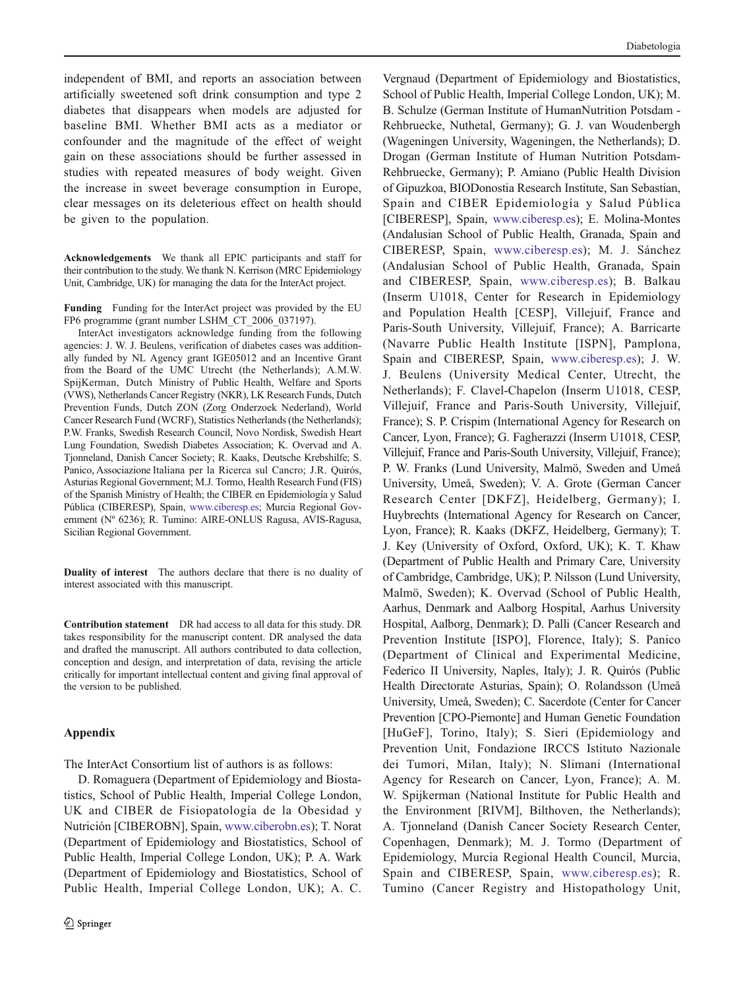<span id="page-9-0"></span>independent of BMI, and reports an association between artificially sweetened soft drink consumption and type 2 diabetes that disappears when models are adjusted for baseline BMI. Whether BMI acts as a mediator or confounder and the magnitude of the effect of weight gain on these associations should be further assessed in studies with repeated measures of body weight. Given the increase in sweet beverage consumption in Europe, clear messages on its deleterious effect on health should be given to the population.

Acknowledgements We thank all EPIC participants and staff for their contribution to the study. We thank N. Kerrison (MRC Epidemiology Unit, Cambridge, UK) for managing the data for the InterAct project.

Funding Funding for the InterAct project was provided by the EU FP6 programme (grant number LSHM\_CT\_2006\_037197).

InterAct investigators acknowledge funding from the following agencies: J. W. J. Beulens, verification of diabetes cases was additionally funded by NL Agency grant IGE05012 and an Incentive Grant from the Board of the UMC Utrecht (the Netherlands); A.M.W. SpijKerman, Dutch Ministry of Public Health, Welfare and Sports (VWS), Netherlands Cancer Registry (NKR), LK Research Funds, Dutch Prevention Funds, Dutch ZON (Zorg Onderzoek Nederland), World Cancer Research Fund (WCRF), Statistics Netherlands (the Netherlands); P.W. Franks, Swedish Research Council, Novo Nordisk, Swedish Heart Lung Foundation, Swedish Diabetes Association; K. Overvad and A. Tjonneland, Danish Cancer Society; R. Kaaks, Deutsche Krebshilfe; S. Panico, Associazione Italiana per la Ricerca sul Cancro; J.R. Quirós, Asturias Regional Government; M.J. Tormo, Health Research Fund (FIS) of the Spanish Ministry of Health; the CIBER en Epidemiología y Salud Pública (CIBERESP), Spain, [www.ciberesp.es](http://www.ciberesp.es); Murcia Regional Government (Nº 6236); R. Tumino: AIRE-ONLUS Ragusa, AVIS-Ragusa, Sicilian Regional Government.

Duality of interest The authors declare that there is no duality of interest associated with this manuscript.

Contribution statement DR had access to all data for this study. DR takes responsibility for the manuscript content. DR analysed the data and drafted the manuscript. All authors contributed to data collection, conception and design, and interpretation of data, revising the article critically for important intellectual content and giving final approval of the version to be published.

#### Appendix

The InterAct Consortium list of authors is as follows:

D. Romaguera (Department of Epidemiology and Biostatistics, School of Public Health, Imperial College London, UK and CIBER de Fisiopatología de la Obesidad y Nutrición [CIBEROBN], Spain, [www.ciberobn.es](http://www.ciberobn.es)); T. Norat (Department of Epidemiology and Biostatistics, School of Public Health, Imperial College London, UK); P. A. Wark (Department of Epidemiology and Biostatistics, School of Public Health, Imperial College London, UK); A. C.

Vergnaud (Department of Epidemiology and Biostatistics, School of Public Health, Imperial College London, UK); M. B. Schulze (German Institute of HumanNutrition Potsdam - Rehbruecke, Nuthetal, Germany); G. J. van Woudenbergh (Wageningen University, Wageningen, the Netherlands); D. Drogan (German Institute of Human Nutrition Potsdam-Rehbruecke, Germany); P. Amiano (Public Health Division of Gipuzkoa, BIODonostia Research Institute, San Sebastian, Spain and CIBER Epidemiología y Salud Pública [CIBERESP], Spain, [www.ciberesp.es](http://www.ciberesp.es)); E. Molina-Montes (Andalusian School of Public Health, Granada, Spain and CIBERESP, Spain, [www.ciberesp.es](http://www.ciberesp.es)); M. J. Sánchez (Andalusian School of Public Health, Granada, Spain and CIBERESP, Spain, [www.ciberesp.es\)](http://www.ciberesp.es); B. Balkau (Inserm U1018, Center for Research in Epidemiology and Population Health [CESP], Villejuif, France and Paris-South University, Villejuif, France); A. Barricarte (Navarre Public Health Institute [ISPN], Pamplona, Spain and CIBERESP, Spain, [www.ciberesp.es](http://www.ciberesp.es)); J. W. J. Beulens (University Medical Center, Utrecht, the Netherlands); F. Clavel-Chapelon (Inserm U1018, CESP, Villejuif, France and Paris-South University, Villejuif, France); S. P. Crispim (International Agency for Research on Cancer, Lyon, France); G. Fagherazzi (Inserm U1018, CESP, Villejuif, France and Paris-South University, Villejuif, France); P. W. Franks (Lund University, Malmö, Sweden and Umeå University, Umeå, Sweden); V. A. Grote (German Cancer Research Center [DKFZ], Heidelberg, Germany); I. Huybrechts (International Agency for Research on Cancer, Lyon, France); R. Kaaks (DKFZ, Heidelberg, Germany); T. J. Key (University of Oxford, Oxford, UK); K. T. Khaw (Department of Public Health and Primary Care, University of Cambridge, Cambridge, UK); P. Nilsson (Lund University, Malmö, Sweden); K. Overvad (School of Public Health, Aarhus, Denmark and Aalborg Hospital, Aarhus University Hospital, Aalborg, Denmark); D. Palli (Cancer Research and Prevention Institute [ISPO], Florence, Italy); S. Panico (Department of Clinical and Experimental Medicine, Federico II University, Naples, Italy); J. R. Quirós (Public Health Directorate Asturias, Spain); O. Rolandsson (Umeå University, Umeå, Sweden); C. Sacerdote (Center for Cancer Prevention [CPO-Piemonte] and Human Genetic Foundation [HuGeF], Torino, Italy); S. Sieri (Epidemiology and Prevention Unit, Fondazione IRCCS Istituto Nazionale dei Tumori, Milan, Italy); N. Slimani (International Agency for Research on Cancer, Lyon, France); A. M. W. Spijkerman (National Institute for Public Health and the Environment [RIVM], Bilthoven, the Netherlands); A. Tjonneland (Danish Cancer Society Research Center, Copenhagen, Denmark); M. J. Tormo (Department of Epidemiology, Murcia Regional Health Council, Murcia, Spain and CIBERESP, Spain, [www.ciberesp.es\)](http://www.ciberesp.es); R. Tumino (Cancer Registry and Histopathology Unit,